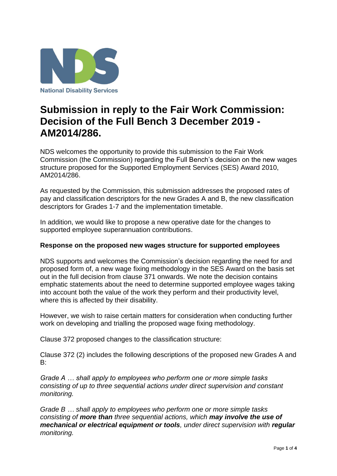

# **Submission in reply to the Fair Work Commission: Decision of the Full Bench 3 December 2019 - AM2014/286.**

NDS welcomes the opportunity to provide this submission to the Fair Work Commission (the Commission) regarding the Full Bench's decision on the new wages structure proposed for the Supported Employment Services (SES) Award 2010, AM2014/286.

As requested by the Commission, this submission addresses the proposed rates of pay and classification descriptors for the new Grades A and B, the new classification descriptors for Grades 1-7 and the implementation timetable.

In addition, we would like to propose a new operative date for the changes to supported employee superannuation contributions.

#### **Response on the proposed new wages structure for supported employees**

NDS supports and welcomes the Commission's decision regarding the need for and proposed form of, a new wage fixing methodology in the SES Award on the basis set out in the full decision from clause 371 onwards. We note the decision contains emphatic statements about the need to determine supported employee wages taking into account both the value of the work they perform and their productivity level, where this is affected by their disability.

However, we wish to raise certain matters for consideration when conducting further work on developing and trialling the proposed wage fixing methodology.

Clause 372 proposed changes to the classification structure:

Clause 372 (2) includes the following descriptions of the proposed new Grades A and B:

*Grade A … shall apply to employees who perform one or more simple tasks consisting of up to three sequential actions under direct supervision and constant monitoring.*

*Grade B … shall apply to employees who perform one or more simple tasks consisting of more than three sequential actions, which may involve the use of mechanical or electrical equipment or tools, under direct supervision with regular monitoring.*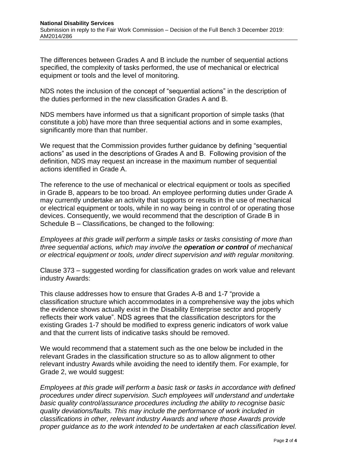The differences between Grades A and B include the number of sequential actions specified, the complexity of tasks performed, the use of mechanical or electrical equipment or tools and the level of monitoring.

NDS notes the inclusion of the concept of "sequential actions" in the description of the duties performed in the new classification Grades A and B.

NDS members have informed us that a significant proportion of simple tasks (that constitute a job) have more than three sequential actions and in some examples, significantly more than that number.

We request that the Commission provides further quidance by defining "sequential actions" as used in the descriptions of Grades A and B. Following provision of the definition, NDS may request an increase in the maximum number of sequential actions identified in Grade A.

The reference to the use of mechanical or electrical equipment or tools as specified in Grade B, appears to be too broad. An employee performing duties under Grade A may currently undertake an activity that supports or results in the use of mechanical or electrical equipment or tools, while in no way being in control of or operating those devices. Consequently, we would recommend that the description of Grade B in Schedule B – Classifications, be changed to the following:

*Employees at this grade will perform a simple tasks or tasks consisting of more than three sequential actions, which may involve the operation or control of mechanical or electrical equipment or tools, under direct supervision and with regular monitoring.*

Clause 373 – suggested wording for classification grades on work value and relevant industry Awards:

This clause addresses how to ensure that Grades A-B and 1-7 "provide a classification structure which accommodates in a comprehensive way the jobs which the evidence shows actually exist in the Disability Enterprise sector and properly reflects their work value". NDS agrees that the classification descriptors for the existing Grades 1-7 should be modified to express generic indicators of work value and that the current lists of indicative tasks should be removed.

We would recommend that a statement such as the one below be included in the relevant Grades in the classification structure so as to allow alignment to other relevant industry Awards while avoiding the need to identify them. For example, for Grade 2, we would suggest:

*Employees at this grade will perform a basic task or tasks in accordance with defined procedures under direct supervision. Such employees will understand and undertake basic quality control/assurance procedures including the ability to recognise basic quality deviations/faults. This may include the performance of work included in classifications in other, relevant industry Awards and where those Awards provide proper guidance as to the work intended to be undertaken at each classification level.*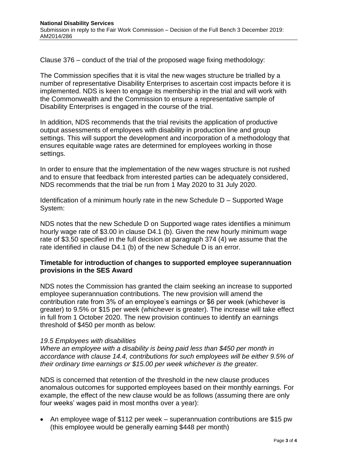Clause 376 – conduct of the trial of the proposed wage fixing methodology:

The Commission specifies that it is vital the new wages structure be trialled by a number of representative Disability Enterprises to ascertain cost impacts before it is implemented. NDS is keen to engage its membership in the trial and will work with the Commonwealth and the Commission to ensure a representative sample of Disability Enterprises is engaged in the course of the trial.

In addition, NDS recommends that the trial revisits the application of productive output assessments of employees with disability in production line and group settings. This will support the development and incorporation of a methodology that ensures equitable wage rates are determined for employees working in those settings.

In order to ensure that the implementation of the new wages structure is not rushed and to ensure that feedback from interested parties can be adequately considered, NDS recommends that the trial be run from 1 May 2020 to 31 July 2020.

Identification of a minimum hourly rate in the new Schedule D – Supported Wage System:

NDS notes that the new Schedule D on Supported wage rates identifies a minimum hourly wage rate of \$3.00 in clause D4.1 (b). Given the new hourly minimum wage rate of \$3.50 specified in the full decision at paragraph 374 (4) we assume that the rate identified in clause D4.1 (b) of the new Schedule D is an error.

### **Timetable for introduction of changes to supported employee superannuation provisions in the SES Award**

NDS notes the Commission has granted the claim seeking an increase to supported employee superannuation contributions. The new provision will amend the contribution rate from 3% of an employee's earnings or \$6 per week (whichever is greater) to 9.5% or \$15 per week (whichever is greater). The increase will take effect in full from 1 October 2020. The new provision continues to identify an earnings threshold of \$450 per month as below:

#### *19.5 Employees with disabilities*

*Where an employee with a disability is being paid less than \$450 per month in accordance with clause 14.4, contributions for such employees will be either 9.5% of their ordinary time earnings or \$15.00 per week whichever is the greater.*

NDS is concerned that retention of the threshold in the new clause produces anomalous outcomes for supported employees based on their monthly earnings. For example, the effect of the new clause would be as follows (assuming there are only four weeks' wages paid in most months over a year):

• An employee wage of \$112 per week – superannuation contributions are \$15 pw (this employee would be generally earning \$448 per month)